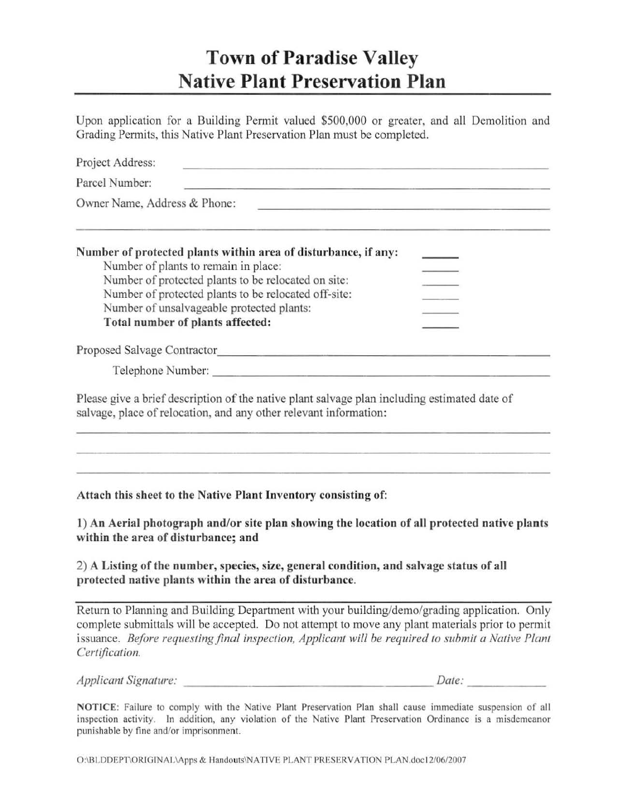## Town of Paradise Valley Native Plant Preservation Plan

Upon application for a Building Permit valued \$500,000 or greater, and all Demolition and Grading Permits, this Native Plant Preservation Plan must be completed.

| Project Address:                                                                                                                                                  |
|-------------------------------------------------------------------------------------------------------------------------------------------------------------------|
| Parcel Number:<br><u> 1989 - Johann Harry Harry Harry Harry Harry Harry Harry Harry Harry Harry Harry Harry Harry Harry Harry Harry</u>                           |
| Owner Name, Address & Phone:<br><u> 1989 - Andrea Andrew Maria (h. 1989).</u>                                                                                     |
| Number of protected plants within area of disturbance, if any:                                                                                                    |
| Number of plants to remain in place:                                                                                                                              |
| Number of protected plants to be relocated on site:<br>Number of protected plants to be relocated off-site:                                                       |
| Number of unsalvageable protected plants:                                                                                                                         |
| Total number of plants affected:                                                                                                                                  |
|                                                                                                                                                                   |
|                                                                                                                                                                   |
| Please give a brief description of the native plant salvage plan including estimated date of<br>salvage, place of relocation, and any other relevant information: |
|                                                                                                                                                                   |
| Attach this sheet to the Native Plant Inventory consisting of:                                                                                                    |
| 1) An Aerial photograph and/or site plan showing the location of all protected native plants<br>within the area of disturbance; and                               |

2) A Listing of the number, species, size, general condition, and salvage status of all protected native plants within the area of disturbance.

Return to Planning and Building Department with your building/demo/grading application. Only complete submittals will be accepted. Do not attempt to move any plant materials prior to permit issuance. *Before requesting final inspection, Applicant will be required to submit a Native Plant Cerlijicarion.* 

| Applicant Signature: | Date: |
|----------------------|-------|

NOTICE: Failure to comply with the Native Plant Preservation Plan shall cause immediate suspension of all inspection activity. In addition, any violation of thc Native Plant Prescrvation Ordinance is a misdemeanor punishable by fine and/or imprisonment.

O:\BLDDEPT\ORIGINAL\Apps & Handouts\NATIVE PLANT PRESERVATION PLAN.doc12/06/2007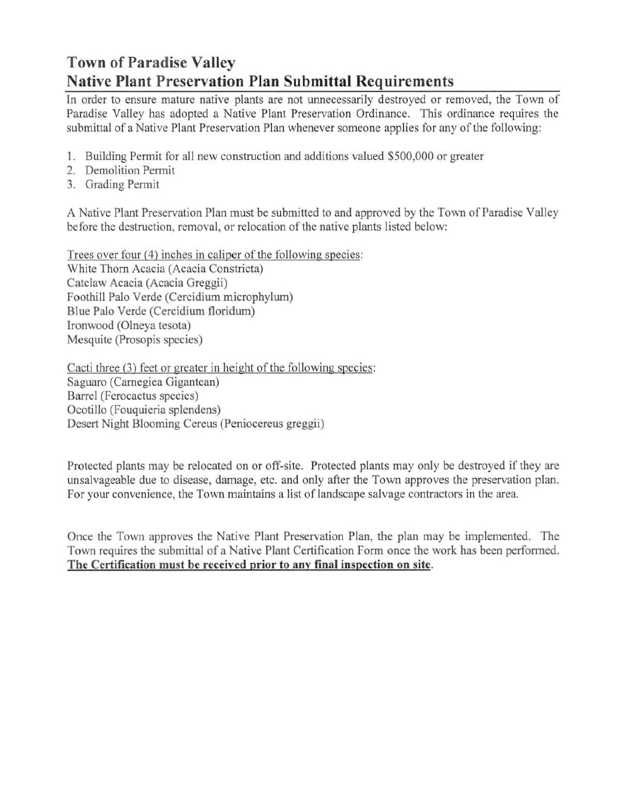## Town of Paradise Valley Native Plant Preservation Plan Submittal Requirements

In order to ensure mature native plants are not unnecessarily destroyed or removed, the Town of Paradise Valley has adopted a Native Plant Preservation Ordinance. This ordinance requires the submittal of a Native Plant Preservation Plan whenever someone applies for any of the following:

- 1. Building Permit for all new construction and additions valued \$500,000 or greater
- 2. Demolition Pennit
- 3. Grading Permit

A Native Plant Preservation Plan must be submitted to and approved by the Town of Paradise Valley before the destruction, removal, or relocation of the native plants listed below:

Trees over four (4) inches in caliper of the following species: White Thorn Acacia (Acacia Constricta) Catclaw Acacia (Acacia Greggii) Foothill Palo Verde (Cercidium microphylum) Blue Palo Verde (Cercidium floridum) Ironwood (Olneya tesota) Mesquite (Prosopis species)

Cacti three (3) feet or greater in height of the following species: Saguaro (Carnegiea Gigantean) Barrel (Ferocactus species) Ocotillo (Fouquieria splendens) Desert Night Blooming Cercus (Peniocereus greggii)

Protected plants may be relocated on or off-site. Protected plants may only be destroyed if they are unsalvageable due to disease, damage, etc. and only after the Town approves the preservation plan. For your convenience, the Town maintains a list of landscape salvage contractors in the area.

Once the Town approves the Native Plant Preservation Plan, the plan may be implemented. The Town requires the submittal of a Native Plant Certification Form once the work has been performed. The Certification must be received prior to any final inspection on site.